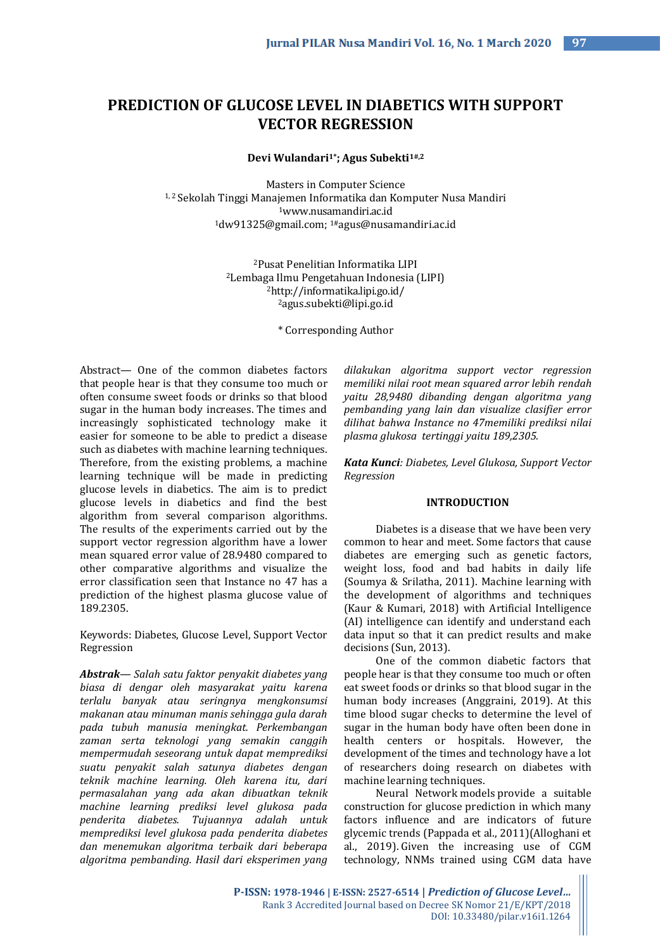# **PREDICTION OF GLUCOSE LEVEL IN DIABETICS WITH SUPPORT VECTOR REGRESSION**

**Devi Wulandari1\* ; Agus Subekti1#,2**

Masters in Computer Science 1, 2 Sekolah Tinggi Manajemen Informatika dan Komputer Nusa Mandiri <sup>1</sup>www.nusamandiri.ac.id <sup>1</sup>dw91325@gmail.com; 1#agus@nusamandiri.ac.id

> Pusat Penelitian Informatika LIPI Lembaga Ilmu Pengetahuan Indonesia (LIPI) http://informatika.lipi.go.id/ [agus.subekti@lipi.go.id](mailto:agus@nusamandiri.ac.id)

> > \* Corresponding Author

Abstract— One of the common diabetes factors that people hear is that they consume too much or often consume sweet foods or drinks so that blood sugar in the human body increases. The times and increasingly sophisticated technology make it easier for someone to be able to predict a disease such as diabetes with machine learning techniques. Therefore, from the existing problems, a machine learning technique will be made in predicting glucose levels in diabetics. The aim is to predict glucose levels in diabetics and find the best algorithm from several comparison algorithms. The results of the experiments carried out by the support vector regression algorithm have a lower mean squared error value of 28.9480 compared to other comparative algorithms and visualize the error classification seen that Instance no 47 has a prediction of the highest plasma glucose value of 189.2305.

Keywords: Diabetes, Glucose Level, Support Vector Regression

*Abstrak— Salah satu faktor penyakit diabetes yang biasa di dengar oleh masyarakat yaitu karena terlalu banyak atau seringnya mengkonsumsi makanan atau minuman manis sehingga gula darah pada tubuh manusia meningkat. Perkembangan zaman serta teknologi yang semakin canggih mempermudah seseorang untuk dapat memprediksi suatu penyakit salah satunya diabetes dengan teknik machine learning. Oleh karena itu, dari permasalahan yang ada akan dibuatkan teknik machine learning prediksi level glukosa pada penderita diabetes. Tujuannya adalah untuk memprediksi level glukosa pada penderita diabetes dan menemukan algoritma terbaik dari beberapa algoritma pembanding. Hasil dari eksperimen yang* 

*dilakukan algoritma support vector regression memiliki nilai root mean squared arror lebih rendah yaitu 28,9480 dibanding dengan algoritma yang pembanding yang lain dan visualize clasifier error dilihat bahwa Instance no 47memiliki prediksi nilai plasma glukosa tertinggi yaitu 189,2305.*

*Kata Kunci: Diabetes, Level Glukosa, Support Vector Regression*

# **INTRODUCTION**

Diabetes is a disease that we have been very common to hear and meet. Some factors that cause diabetes are emerging such as genetic factors, weight loss, food and bad habits in daily life (Soumya & Srilatha, 2011). Machine learning with the development of algorithms and techniques (Kaur & Kumari, 2018) with Artificial Intelligence (AI) intelligence can identify and understand each data input so that it can predict results and make decisions (Sun, 2013).

One of the common diabetic factors that people hear is that they consume too much or often eat sweet foods or drinks so that blood sugar in the human body increases (Anggraini, 2019). At this time blood sugar checks to determine the level of sugar in the human body have often been done in health centers or hospitals. However, the development of the times and technology have a lot of researchers doing research on diabetes with machine learning techniques.

Neural Network models provide a suitable construction for glucose prediction in which many factors influence and are indicators of future glycemic trends (Pappada et al., 2011)(Alloghani et al., 2019). Given the increasing use of CGM technology, NNMs trained using CGM data have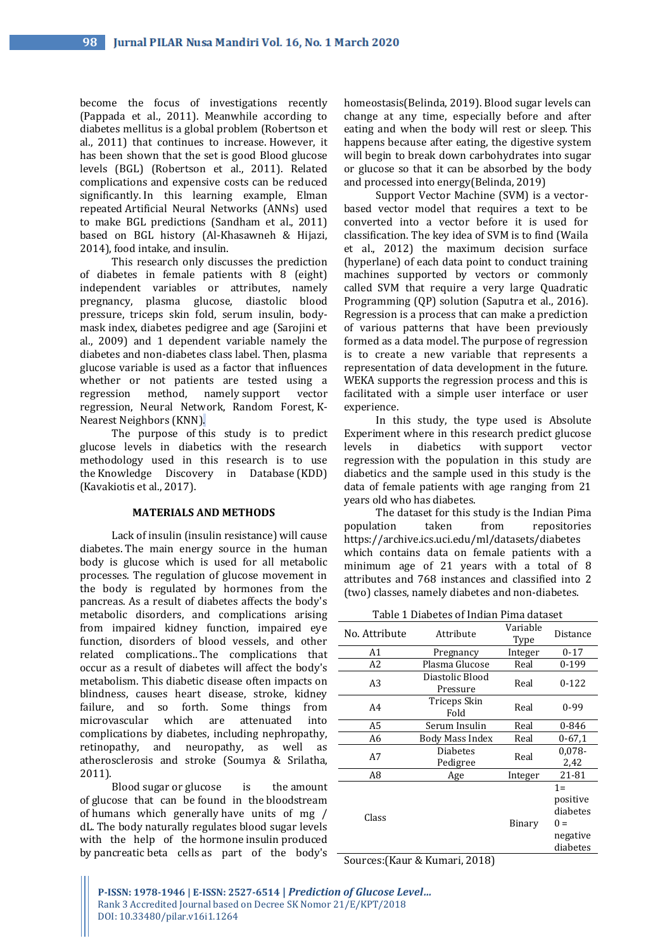become the focus of investigations recently (Pappada et al., 2011). Meanwhile according to diabetes mellitus is a global problem (Robertson et al., 2011) that continues to increase. However, it has been shown that the set is good Blood glucose levels (BGL) (Robertson et al., 2011). Related complications and expensive costs can be reduced significantly. In this learning example, Elman repeated Artificial Neural Networks (ANNs) used to make BGL predictions (Sandham et al., 2011) based on BGL history (Al-Khasawneh & Hijazi, 2014), food intake, and insulin.

This research only discusses the prediction of diabetes in female patients with 8 (eight) independent variables or attributes, namely pregnancy, plasma glucose, diastolic blood pressure, triceps skin fold, serum insulin, bodymask index, diabetes pedigree and age (Sarojini et al., 2009) and 1 dependent variable namely the diabetes and non-diabetes class label. Then, plasma glucose variable is used as a factor that influences whether or not patients are tested using a regression method, namely support vector regression, Neural Network, Random Forest, K-Nearest Neighbors (KNN).

The purpose of this study is to predict glucose levels in diabetics with the research methodology used in this research is to use the Knowledge Discovery in Database (KDD) (Kavakiotis et al., 2017).

# **MATERIALS AND METHODS**

Lack of insulin (insulin resistance) will cause diabetes. The main energy source in the human body is glucose which is used for all metabolic processes. The regulation of glucose movement in the body is regulated by hormones from the pancreas. As a result of diabetes affects the body's metabolic disorders, and complications arising from impaired kidney function, impaired eye function, disorders of blood vessels, and other related complications.. The complications that occur as a result of diabetes will affect the body's metabolism. This diabetic disease often impacts on blindness, causes heart disease, stroke, kidney failure, and so forth. Some things from microvascular which are attenuated into complications by diabetes, including nephropathy, retinopathy, and neuropathy, as well as atherosclerosis and stroke (Soumya & Srilatha, 2011).

Blood sugar or glucose is the amount of glucose that can be found in the bloodstream of humans which generally have units of mg / dL. The body naturally regulates blood sugar levels with the help of the hormone insulin produced by pancreatic beta cells as part of the body's homeostasis(Belinda, 2019). Blood sugar levels can change at any time, especially before and after eating and when the body will rest or sleep. This happens because after eating, the digestive system will begin to break down carbohydrates into sugar or glucose so that it can be absorbed by the body and processed into energy(Belinda, 2019)

Support Vector Machine (SVM) is a vectorbased vector model that requires a text to be converted into a vector before it is used for classification. The key idea of SVM is to find (Waila et al., 2012) the maximum decision surface (hyperlane) of each data point to conduct training machines supported by vectors or commonly called SVM that require a very large Quadratic Programming (QP) solution (Saputra et al., 2016). Regression is a process that can make a prediction of various patterns that have been previously formed as a data model. The purpose of regression is to create a new variable that represents a representation of data development in the future. WEKA supports the regression process and this is facilitated with a simple user interface or user experience.

In this study, the type used is Absolute Experiment where in this research predict glucose levels in diabetics with support vector regression with the population in this study are diabetics and the sample used in this study is the data of female patients with age ranging from 21 years old who has diabetes.

The dataset for this study is the Indian Pima population taken from repositories https://archive.ics.uci.edu/ml/datasets/diabetes which contains data on female patients with a minimum age of 21 years with a total of 8 attributes and 768 instances and classified into 2 (two) classes, namely diabetes and non-diabetes.

Table 1 Diabetes of Indian Pima dataset

| No. Attribute | Attribute                   | Variable<br>Type | Distance                                                       |
|---------------|-----------------------------|------------------|----------------------------------------------------------------|
| A1            | Pregnancy                   | Integer          | $0 - 17$                                                       |
| A2            | Plasma Glucose              | Real             | 0-199                                                          |
| A3            | Diastolic Blood<br>Pressure | Real             | $0 - 122$                                                      |
| A4            | Triceps Skin<br>Fold        | Real             | 0-99                                                           |
| A5            | Serum Insulin               | Real             | 0-846                                                          |
| A6            | Body Mass Index             | Real             | $0 - 67.1$                                                     |
| A7            | <b>Diabetes</b><br>Pedigree | Real             | $0,078-$<br>2,42                                               |
| A8            | Age                         | Integer          | 21-81                                                          |
| Class         |                             | Binary           | $1 =$<br>positive<br>diabetes<br>$0 =$<br>negative<br>diabetes |

Sources:(Kaur & Kumari, 2018)

**P-ISSN: 1978-1946 | E-ISSN: 2527-6514 |** *Prediction of Glucose Level…* Rank 3 Accredited Journal based on Decree SK Nomor 21/E/KPT/2018 DOI: 10.33480/pilar.v16i1.1264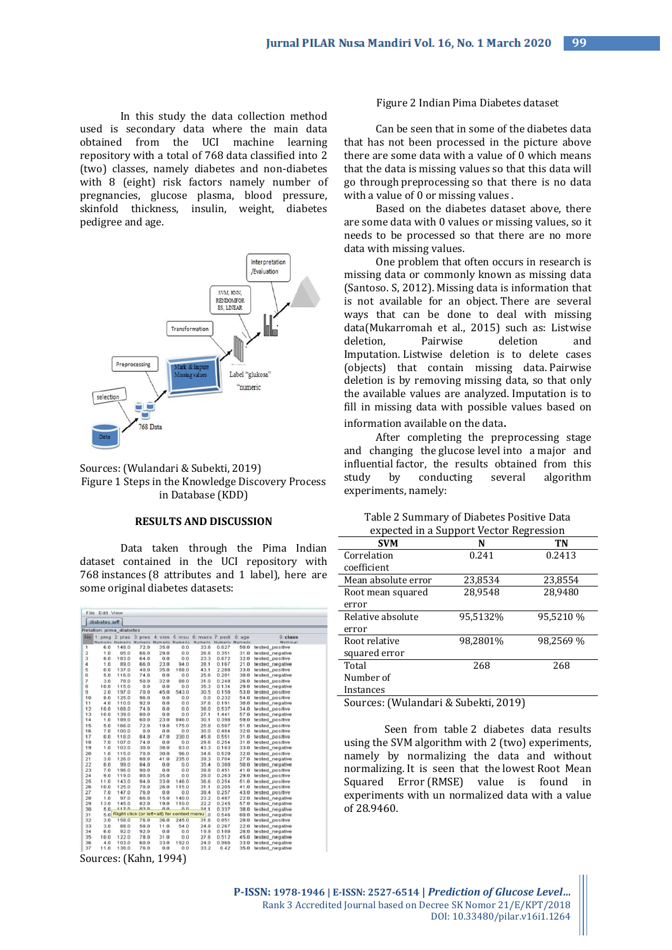In this study the data collection method used is secondary data where the main data obtained from the UCI machine learning repository with a total of 768 data classified into 2 (two) classes, namely diabetes and non-diabetes with 8 (eight) risk factors namely number of pregnancies, glucose plasma, blood pressure, skinfold thickness, insulin, weight, diabetes pedigree and age.



Sources: (Wulandari & Subekti, 2019) Figure 1 Steps in the Knowledge Discovery Process in Database (KDD)

# **RESULTS AND DISCUSSION**

Data taken through the Pima Indian dataset contained in the UCI repository with 768 instances (8 attributes and 1 label), here are some original diabetes datasets:

|                      | diabetes.arff |                                |                    |                 |           |                                                  |                 |        |                 |
|----------------------|---------------|--------------------------------|--------------------|-----------------|-----------|--------------------------------------------------|-----------------|--------|-----------------|
|                      |               | Relation: pima_diabetes        |                    |                 |           |                                                  |                 |        |                 |
|                      |               | No. 1: preg. 2: plas. 3: pres. |                    | 4 skin          | $5:$ insu | 6: mass 7: pedi                                  |                 | B: ace | 9 class         |
|                      | Numeric       |                                | Numeric Numeric    | Numeric Numeric |           | Numerio                                          | Numeric Numeric |        | Nominal         |
| 1                    | 6.0           | 148.0                          | 72.0               | 35.0            | 0.0       | 33.6                                             | 0.627           | 50.0   | tested positive |
| $\bar{z}$            | 1.0           | 85.0                           | 66.0               | 29.0            | 0.0       | 26.6                                             | 0.351           | 31.0   | tested_negative |
| 3                    | 8.0           | 183.0                          | 64.0               | 0,0             | 0.0       | 23.3                                             | 0.672           | 32.0   | tested_positive |
| $\ddot{\phantom{a}}$ | 1.0           | 89.0                           | 66.0               | 23.0            | 94.0      | 28.1                                             | 0.167           | 21.0   | tested_negative |
| 5                    | 0.0           | 137.0                          | 40.0               | 35.0            | 168.0     | 43.1                                             | 2.288           | 33.0   | tested positive |
| 6                    | 5.0           | 116.0                          | 74.0               | 0.0             | 0.0       | 25.6                                             | 0.201           | 30.0   | tested negative |
| 7                    | 3.0           | 78.0                           | 50.0               | 32.0            | 88.0      | 31.0                                             | 0.248           | 26.0   | tested_positive |
| 8                    | 10.0          | 115.0                          | 0.0                | 0.0             | 0.0       | 35.3                                             | 0.134           | 29.0   | tested negative |
| $\overline{9}$       | 2.0           | 197.0                          | 70.0               | 45.0            | 543.0     | 30.5                                             | 0.158           | 53.0   | tested_positive |
| 10                   | 8.0           | 125.0                          | 96.0               | 0.0             | 0.0       | 0.0                                              | 0.232           | 54.0   | tested_positive |
| 11                   | 4.0           | 110.0                          | 92.0               | 0.0             | 0.0       | 37.6                                             | 0.191           | 30.0   | tested negative |
| 12                   | 10.0          | 168.0                          | 74.0               | 0.0             | 0.0       | 38.0                                             | 0.537           | 34.0   | tested positive |
| 13                   | 10.0          | 139.0                          | 80.0               | 0.0             | 0.0       | 27.1                                             | 1.441           | 57.0   | tested_negative |
| 14                   | 1.0           | 189.0                          | 60.0               | 23.0            | 846.0     | 30.1                                             | 0.398           | 59.0   | tested_positive |
| 15                   | 5.0           | 166.0                          | 72.0               | 19.0            | 175.0     | 25.8                                             | 0.587           | 51.0   | tested_positive |
| 16                   | 7.0           | 100.0                          | 0.0                | 0.0             | 0.0       | 30.0                                             | 0.484           | 32.0   | tested_positive |
| 17                   | 0.0           | 118.0                          | 84.0               | 47.0            | 230.0     | 45.8                                             | 0.551           | 31.0   | tested positive |
| 18                   | 7.0           | 107.0                          | 74.0               | 0.0             | 0.0       | 29.6                                             | 0.254           | 31.0   | tested positive |
| 19                   | 1.0           | 103.0                          | 30.0               | 38.0            | 83.0      | 43.3                                             | 0.183           | 33.0   | tested_negative |
| 20                   | 1.0           | 115.0                          | 70.0               | 30.0            | 96.0      | 34.6                                             | 0.529           | 32.0   | tested_positive |
| 21                   | 3.0           | 126.0                          | 88.0               | 41.0            | 235.0     | 39.3                                             | 0.704           | 27.0   | tested_negative |
| 22                   | 8.0           | 99.0                           | 84.0               | 0.0             | 0.0       | 35.4                                             | 0.388           | 50.0   | tested negative |
| 23                   | 7.0           | 196.0                          | 90.0               | 0.0             | 0.0       | 39.8                                             | 0.451           | 41.0   | tested positive |
| 24                   | 9.0           | 119.0                          | 80.0               | 35.0            | 0.0       | 29.0                                             | 0.263           | 29.0   | tested_positive |
| 25                   | 11.0          | 143.0                          | 94.0               | 33.0            | 146.0     | 36.6                                             | 0.254           | 51.0   | tested_positive |
| 26                   | 10.0          | 125.0                          | 70.0               | 26.0            | 115.0     | 31.1                                             | 0.205           | 41.0   | tested_positive |
| 27                   | 7.0           | 147.0                          | 76.0               | 0.0             | 0.0       | 39.4                                             | 0.257           | 43.0   | tested positive |
| 28                   | 1.0           | 97.0                           | 66.0               | 15.0            | 140.0     | 23.2                                             | 0.487           | 22.0   | tested_negative |
| 29                   | 13.0          | 145.0                          | 82.0               | 19.0            | 110.0     | 22.2                                             | 0.245           | 57.0   | tested negative |
| 30                   | 5.0.          | 1170                           | $n \in \mathbb{N}$ | 0.0             | a.a       | 94.1                                             | 0.337           | 38.0   | tested_negative |
| 31                   |               |                                |                    |                 |           | 5.0 Right click (or left+alt) for context menu 0 | 0.546           | 60.0   | tested_negative |
| 32                   | 3.0           | 158.0                          | 76.0               | 36.0            | 245.0     | 31.6                                             | 0.851           | 28.0   | tested_positive |
| 33                   | 3.0           | 88.0                           | 58.0               | 11.0            | 54.0      | 24.8                                             | 0.267           | 22.0   | tested_negative |
| 34                   | 6.0           | 92.0                           | 92.0               | 0.0             | 0.0       | 19.9                                             | 0.188           | 28.0   | tested negative |
| 35                   | 10.0          | 122.0                          | 78.0               | 31.0            | 0.0       | 27.6                                             | 0.512           | 45.0   | tested negative |
| 36                   | 4.0           | 103.0                          | 60.0               | 33.0            | 192.0     | 24.0                                             | 0.966           | 33.0   | tested_negative |
| 37                   | 11.0          | 138.0                          | 76.0               | 0.0             | 0.0       | 33.2                                             | 0.42            | 35.0   | tested_negative |

#### Figure 2 Indian Pima Diabetes dataset

Can be seen that in some of the diabetes data that has not been processed in the picture above there are some data with a value of  $0$  which means that the data is missing values so that this data will go through preprocessing so that there is no data with a value of 0 or missing values .

Based on the diabetes dataset above, there are some data with 0 values or missing values, so it needs to be processed so that there are no more data with missing values.

One problem that often occurs in research is missing data or commonly known as missing data (Santoso. S, 2012). Missing data is information that is not available for an object. There are several ways that can be done to deal with missing data(Mukarromah et al., 2015) such as: Listwise<br>deletion. Pairwise deletion and Pairwise deletion and Imputation. Listwise deletion is to delete cases (objects) that contain missing data. Pairwise deletion is by removing missing data, so that only the available values are analyzed. Imputation is to fill in missing data with possible values based on information available on the data.

After completing the preprocessing stage and changing the glucose level into a major and influential factor, the results obtained from this study by conducting several algorithm experiments, namely:

|  | Table 2 Summary of Diabetes Positive Data |  |
|--|-------------------------------------------|--|
|  | ay negated in a Cunnant Vector Degreesian |  |

| expected in a Support Vector Regression |          |           |  |  |
|-----------------------------------------|----------|-----------|--|--|
| <b>SVM</b>                              | N        | ТN        |  |  |
| Correlation                             | 0.241    | 0.2413    |  |  |
| coefficient                             |          |           |  |  |
| Mean absolute error                     | 23,8534  | 23,8554   |  |  |
| Root mean squared                       | 28.9548  | 28.9480   |  |  |
| error                                   |          |           |  |  |
| Relative absolute                       | 95,5132% | 95,5210 % |  |  |
| error                                   |          |           |  |  |
| Root relative                           | 98,2801% | 98,2569 % |  |  |
| squared error                           |          |           |  |  |
| Total                                   | 268      | 268       |  |  |
| Number of                               |          |           |  |  |
| Instances                               |          |           |  |  |

Sources: (Wulandari & Subekti, 2019)

Seen from table 2 diabetes data results using the SVM algorithm with 2 (two) experiments, namely by normalizing the data and without normalizing. It is seen that the lowest Root Mean Squared Error (RMSE) value is found in experiments with un normalized data with a value of 28.9460.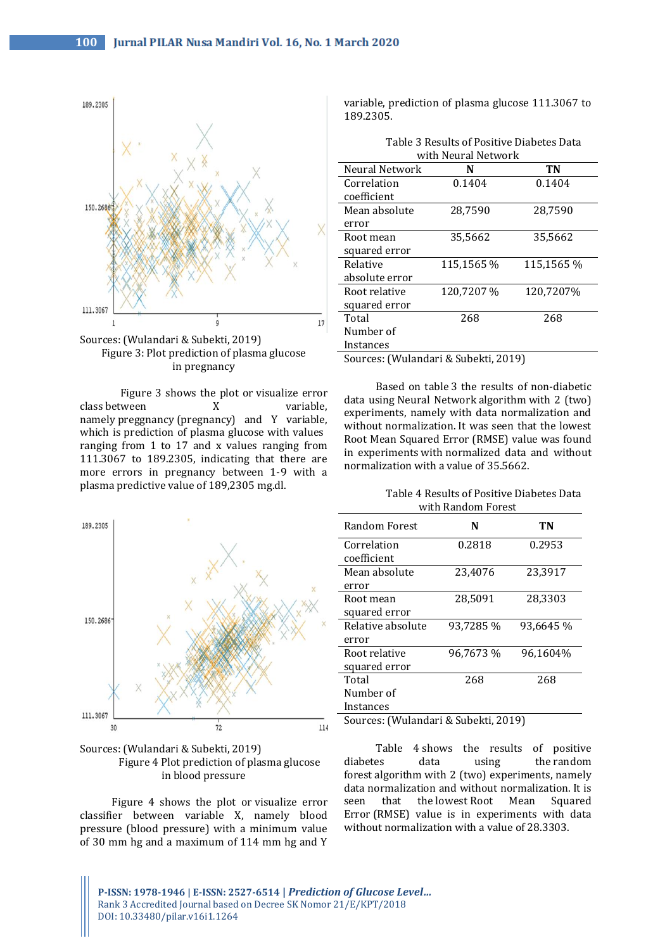

Sources: (Wulandari & Subekti, 2019) Figure 3: Plot prediction of plasma glucose in pregnancy

Figure 3 shows the plot or visualize error class between X variable, namely preggnancy (pregnancy) and Y variable, which is prediction of plasma glucose with values ranging from 1 to 17 and x values ranging from 111.3067 to 189.2305, indicating that there are more errors in pregnancy between 1-9 with a plasma predictive value of 189,2305 mg.dl.





Figure 4 shows the plot or visualize error classifier between variable X, namely blood pressure (blood pressure) with a minimum value of 30 mm hg and a maximum of 114 mm hg and Y

variable, prediction of plasma glucose 111.3067 to 189.2305.

| Table 3 Results of Positive Diabetes Data |
|-------------------------------------------|
| with Neural Network                       |

| Neural Network | N          | TN         |
|----------------|------------|------------|
| Correlation    | 0.1404     | 0.1404     |
| coefficient    |            |            |
| Mean absolute  | 28,7590    | 28,7590    |
| error          |            |            |
| Root mean      | 35,5662    | 35,5662    |
| squared error  |            |            |
| Relative       | 115,1565 % | 115,1565 % |
| absolute error |            |            |
| Root relative  | 120,7207 % | 120,7207%  |
| squared error  |            |            |
| Total          | 268        | 268        |
| Number of      |            |            |
| Instances      |            |            |
|                |            |            |

Sources: (Wulandari & Subekti, 2019)

Based on table 3 the results of non-diabetic data using Neural Network algorithm with 2 (two) experiments, namely with data normalization and without normalization. It was seen that the lowest Root Mean Squared Error (RMSE) value was found in experiments with normalized data and without normalization with a value of 35.5662.

## Table 4 Results of Positive Diabetes Data with Random Forest

|                                      | ,,,,,,,,,,,,,,,,,,,,,,,,,,,,, |           |  |
|--------------------------------------|-------------------------------|-----------|--|
| Random Forest                        | N                             | TN        |  |
| Correlation                          | 0.2818                        | 0.2953    |  |
| coefficient                          |                               |           |  |
| Mean absolute                        | 23,4076                       | 23,3917   |  |
| error                                |                               |           |  |
| Root mean                            | 28,5091                       | 28,3303   |  |
| squared error                        |                               |           |  |
| Relative absolute                    | 93,7285 %                     | 93,6645 % |  |
| error                                |                               |           |  |
| Root relative                        | 96,7673 %                     | 96,1604%  |  |
| squared error                        |                               |           |  |
| Total                                | 268                           | 268       |  |
| Number of                            |                               |           |  |
| Instances                            |                               |           |  |
| Sources: (Wulandari & Subekti, 2019) |                               |           |  |

Table 4 shows the results of positive diabetes data using the random forest algorithm with 2 (two) experiments, namely data normalization and without normalization. It is seen that the lowest Root Mean Squared Error (RMSE) value is in experiments with data without normalization with a value of 28.3303.

**P-ISSN: 1978-1946 | E-ISSN: 2527-6514 |** *Prediction of Glucose Level…* Rank 3 Accredited Journal based on Decree SK Nomor 21/E/KPT/2018 DOI: 10.33480/pilar.v16i1.1264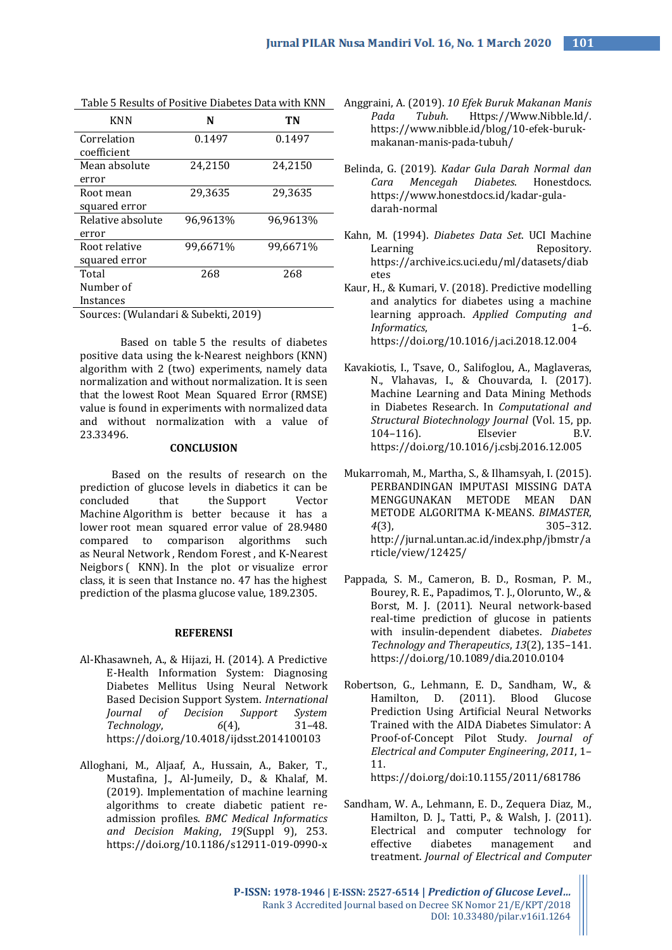| <b>KNN</b>                           | N        | TN       |  |  |
|--------------------------------------|----------|----------|--|--|
| Correlation                          | 0.1497   | 0.1497   |  |  |
| coefficient                          |          |          |  |  |
| Mean absolute                        | 24,2150  | 24,2150  |  |  |
| error                                |          |          |  |  |
| Root mean                            | 29,3635  | 29,3635  |  |  |
| squared error                        |          |          |  |  |
| Relative absolute                    | 96,9613% | 96,9613% |  |  |
| error                                |          |          |  |  |
| Root relative                        | 99,6671% | 99,6671% |  |  |
| squared error                        |          |          |  |  |
| Total                                | 268      | 268      |  |  |
| Number of                            |          |          |  |  |
| Instances                            |          |          |  |  |
| Sources: (Wulandari & Subekti, 2019) |          |          |  |  |

Based on table 5 the results of diabetes positive data using the k-Nearest neighbors (KNN) algorithm with 2 (two) experiments, namely data normalization and without normalization. It is seen that the lowest Root Mean Squared Error (RMSE) value is found in experiments with normalized data and without normalization with a value of 23.33496.

### **CONCLUSION**

Based on the results of research on the prediction of glucose levels in diabetics it can be concluded that the Support Vector Machine Algorithm is better because it has a lower root mean squared error value of 28.9480 compared to comparison algorithms such as Neural Network , Rendom Forest , and K-Nearest Neigbors ( KNN). In the plot or visualize error class, it is seen that Instance no. 47 has the highest prediction of the plasma glucose value, 189.2305.

## **REFERENSI**

- Al-Khasawneh, A., & Hijazi, H. (2014). A Predictive E-Health Information System: Diagnosing Diabetes Mellitus Using Neural Network Based Decision Support System. *International Journal of Decision Support System Technology*, *6*(4), 31–48. https://doi.org/10.4018/ijdsst.2014100103
- Alloghani, M., Aljaaf, A., Hussain, A., Baker, T., Mustafina, J., Al-Jumeily, D., & Khalaf, M. (2019). Implementation of machine learning algorithms to create diabetic patient readmission profiles. *BMC Medical Informatics and Decision Making*, *19*(Suppl 9), 253. https://doi.org/10.1186/s12911-019-0990-x
- Table 5 Results of Positive Diabetes Data with KNN Anggraini, A. (2019). *10 Efek Buruk Makanan Manis Pada Tubuh*. Https://Www.Nibble.Id/. https://www.nibble.id/blog/10-efek-burukmakanan-manis-pada-tubuh/
	- Belinda, G. (2019). *Kadar Gula Darah Normal dan Cara Mencegah Diabetes*. Honestdocs. https://www.honestdocs.id/kadar-guladarah-normal
	- Kahn, M. (1994). *Diabetes Data Set*. UCI Machine Learning Repository. https://archive.ics.uci.edu/ml/datasets/diab etes
	- Kaur, H., & Kumari, V. (2018). Predictive modelling and analytics for diabetes using a machine learning approach. *Applied Computing and Informatics*, 1–6. https://doi.org/10.1016/j.aci.2018.12.004
	- Kavakiotis, I., Tsave, O., Salifoglou, A., Maglaveras, N., Vlahavas, I., & Chouvarda, I. (2017). Machine Learning and Data Mining Methods in Diabetes Research. In *Computational and Structural Biotechnology Journal* (Vol. 15, pp. 104–116). Elsevier B.V. https://doi.org/10.1016/j.csbj.2016.12.005
	- Mukarromah, M., Martha, S., & Ilhamsyah, I. (2015). PERBANDINGAN IMPUTASI MISSING DATA MENGGUNAKAN METODE MEAN DAN METODE ALGORITMA K-MEANS. *BIMASTER*, *4*(3), 305–312. http://jurnal.untan.ac.id/index.php/jbmstr/a rticle/view/12425/
	- Pappada, S. M., Cameron, B. D., Rosman, P. M., Bourey, R. E., Papadimos, T. J., Olorunto, W., & Borst, M. J. (2011). Neural network-based real-time prediction of glucose in patients with insulin-dependent diabetes. *Diabetes Technology and Therapeutics*, *13*(2), 135–141. https://doi.org/10.1089/dia.2010.0104
	- Robertson, G., Lehmann, E. D., Sandham, W., & Hamilton, D. (2011). Blood Glucose Prediction Using Artificial Neural Networks Trained with the AIDA Diabetes Simulator: A Proof-of-Concept Pilot Study. *Journal of Electrical and Computer Engineering*, *2011*, 1– 11.

https://doi.org/doi:10.1155/2011/681786

Sandham, W. A., Lehmann, E. D., Zequera Diaz, M., Hamilton, D. J., Tatti, P., & Walsh, J. (2011). Electrical and computer technology for effective diabetes management and treatment. *Journal of Electrical and Computer* 

**P-ISSN: 1978-1946 | E-ISSN: 2527-6514 |** *Prediction of Glucose Level…* Rank 3 Accredited Journal based on Decree SK Nomor 21/E/KPT/2018 DOI: 10.33480/pilar.v16i1.1264